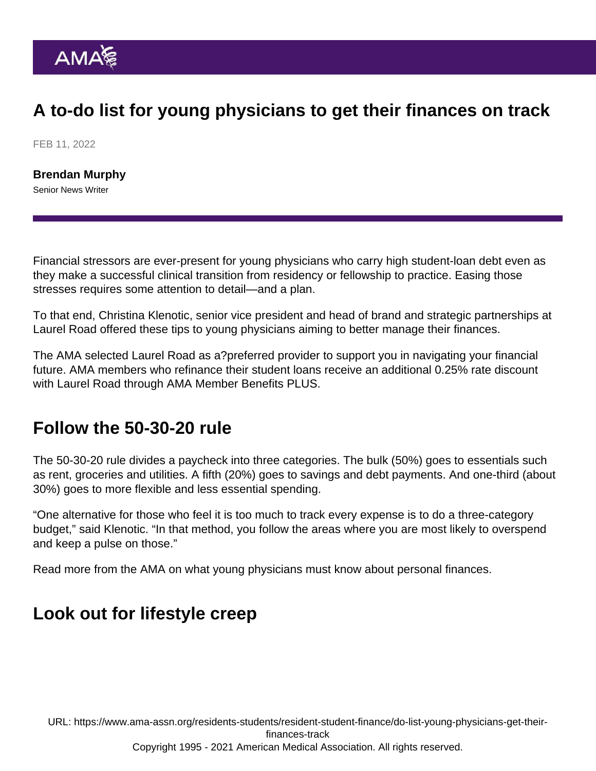# A to-do list for young physicians to get their finances on track

FEB 11, 2022

[Brendan Murphy](https://www.ama-assn.org/news-leadership-viewpoints/authors-news-leadership-viewpoints/brendan-murphy) Senior News Writer

Financial stressors are ever-present for young physicians who carry high student-loan debt even as they make a successful clinical transition from residency or fellowship to practice. Easing those stresses requires some attention to detail—and a plan.

To that end, Christina Klenotic, senior vice president and head of brand and strategic partnerships at [Laurel Road](https://www.laurelroad.com/partnerships/ama/residents/#amaDisclaimers) offered these tips to young physicians aiming to better manage their finances.

The AMA selected Laurel Road as a[?preferred provider](https://www.ama-assn.org/member-benefits/personal-member-benefits-discounts/loans-financial-services) to support you in navigating your financial future. AMA members who refinance their student loans receive an additional 0.25% rate discount with [Laurel Road](https://www.ama-assn.org/member-benefits/personal-member-benefits-discounts/loans-financial-services) through [AMA Member Benefits PLUS](https://www.ama-assn.org/amaone/ama-member-benefits-plus).

### Follow the 50-30-20 rule

The 50-30-20 rule divides a paycheck into three categories. The bulk (50%) goes to essentials such as rent, groceries and utilities. A fifth (20%) goes to savings and debt payments. And one-third (about 30%) goes to more flexible and less essential spending.

"One alternative for those who feel it is too much to track every expense is to do a three-category budget," said Klenotic. "In that method, you follow the areas where you are most likely to overspend and keep a pulse on those."

Read more from the AMA on [what young physicians must know about personal finances](https://www.ama-assn.org/residents-students/resident-student-finance/what-young-physicians-should-know-about-personal).

#### Look out for lifestyle creep

URL: [https://www.ama-assn.org/residents-students/resident-student-finance/do-list-young-physicians-get-their](https://www.ama-assn.org/residents-students/resident-student-finance/do-list-young-physicians-get-their-finances-track)[finances-track](https://www.ama-assn.org/residents-students/resident-student-finance/do-list-young-physicians-get-their-finances-track) Copyright 1995 - 2021 American Medical Association. All rights reserved.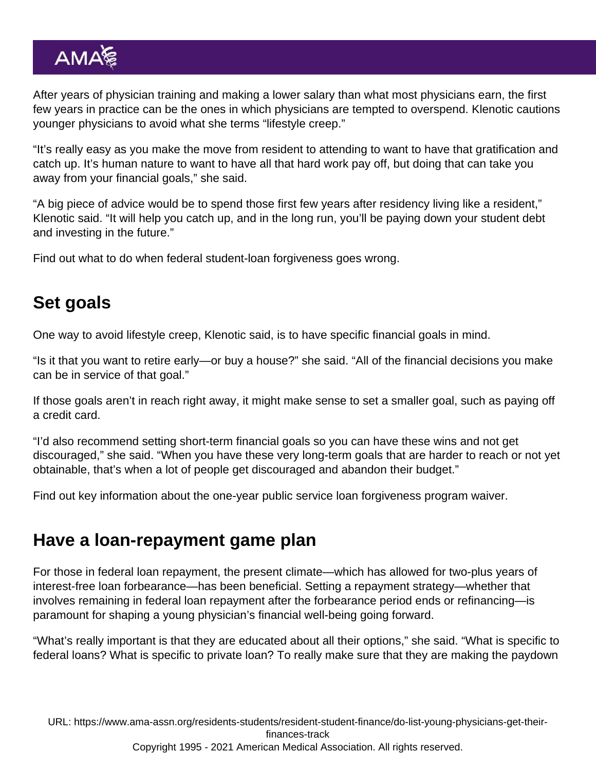After years of physician training and making a lower salary than what most physicians earn, the first few years in practice can be the ones in which physicians are tempted to overspend. Klenotic cautions younger physicians to avoid what she terms "lifestyle creep."

"It's really easy as you make the move from resident to attending to want to have that gratification and catch up. It's human nature to want to have all that hard work pay off, but doing that can take you away from your financial goals," she said.

"A big piece of advice would be to spend those first few years after residency living like a resident," Klenotic said. "It will help you catch up, and in the long run, you'll be paying down your student debt and investing in the future."

Find out [what to do when federal student-loan forgiveness goes wrong.](https://www.ama-assn.org/residents-students/resident-student-finance/what-do-when-federal-student-loan-forgiveness-goes)

## Set goals

One way to avoid lifestyle creep, Klenotic said, is to have specific financial goals in mind.

"Is it that you want to retire early—or buy a house?" she said. "All of the financial decisions you make can be in service of that goal."

If those goals aren't in reach right away, it might make sense to set a smaller goal, such as paying off a credit card.

"I'd also recommend setting short-term financial goals so you can have these wins and not get discouraged," she said. "When you have these very long-term goals that are harder to reach or not yet obtainable, that's when a lot of people get discouraged and abandon their budget."

Find out [key information about the one-year public service loan forgiveness program waiver.](https://www.ama-assn.org/residents-students/resident-student-finance/pslf-program-waiver-what-physician-borrowers-should)

### Have a loan-repayment game plan

For those in federal loan repayment, the present climate—which has allowed for two-plus years of interest-free loan forbearance—has been beneficial. Setting a repayment strategy—whether that involves remaining in federal loan repayment after the forbearance period ends or refinancing—is paramount for shaping a young physician's financial well-being going forward.

"What's really important is that they are educated about all their options," she said. "What is specific to federal loans? What is specific to private loan? To really make sure that they are making the paydown

URL: [https://www.ama-assn.org/residents-students/resident-student-finance/do-list-young-physicians-get-their](https://www.ama-assn.org/residents-students/resident-student-finance/do-list-young-physicians-get-their-finances-track)[finances-track](https://www.ama-assn.org/residents-students/resident-student-finance/do-list-young-physicians-get-their-finances-track) Copyright 1995 - 2021 American Medical Association. All rights reserved.